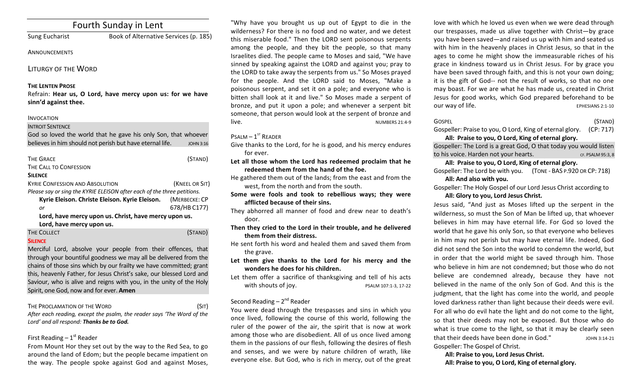# Fourth Sunday in Lent

Sung Eucharist Book of Alternative Services (p. 185)

#### **ANNOUNCEMENTS**

# LITURGY OF THE WORD

#### **THE LENTEN PROSE**

Refrain: Hear us, O Lord, have mercy upon us: for we have **sinn'd against thee.**

#### INVOCATION

## **INTROIT SENTENCE**

| God so loved the world that he gave his only Son, that whoever          |                  |
|-------------------------------------------------------------------------|------------------|
| believes in him should not perish but have eternal life.                | <b>JOHN 3:16</b> |
|                                                                         |                  |
| <b>THE GRACE</b>                                                        | (STAND)          |
| THE CALL TO CONFESSION                                                  |                  |
| <b>SILENCE</b>                                                          |                  |
| <b>KYRIE CONFESSION AND ABSOLUTION</b>                                  | (KNEEL OR SIT)   |
| Please say or sing the KYRIE ELEISON after each of the three petitions. |                  |
| Kyrie Eleison. Christe Eleison. Kyrie Eleison.                          | (MERBECKE: CP    |
| or                                                                      | 678/HB C177)     |
| Lord, have mercy upon us. Christ, have mercy upon us.                   |                  |
| Lord, have mercy upon us.                                               |                  |
| <b>THE COLLECT</b>                                                      |                  |
|                                                                         |                  |

# **SILENCE**

Merciful Lord, absolve your people from their offences, that through your bountiful goodness we may all be delivered from the chains of those sins which by our frailty we have committed; grant this, heavenly Father, for Jesus Christ's sake, our blessed Lord and Saviour, who is alive and reigns with you, in the unity of the Holy Spirit, one God, now and for ever. **Amen** 

#### THE PROCLAMATION OF THE WORD (SIT)

After each reading, except the psalm, the reader says 'The Word of the Lord' and all respond: Thanks be to God.

# First Reading  $-1<sup>st</sup>$  Reader

From Mount Hor they set out by the way to the Red Sea, to go around the land of Edom; but the people became impatient on the way. The people spoke against God and against Moses,

"Why have you brought us up out of Egypt to die in the wilderness? For there is no food and no water, and we detest this miserable food." Then the LORD sent poisonous serpents among the people, and they bit the people, so that many Israelites died. The people came to Moses and said, "We have sinned by speaking against the LORD and against you; pray to the LORD to take away the serpents from us." So Moses prayed for the people. And the LORD said to Moses, "Make a poisonous serpent, and set it on a pole; and everyone who is bitten shall look at it and live." So Moses made a serpent of bronze, and put it upon a pole; and whenever a serpent bit someone, that person would look at the serpent of bronze and live. NUMBERS 21:4-9

 $P$ SALM  $-1$ <sup>ST</sup> READER

- Give thanks to the Lord, for he is good, and his mercy endures for ever.
- Let all those whom the Lord has redeemed proclaim that he redeemed them from the hand of the foe.
- He gathered them out of the lands; from the east and from the west, from the north and from the south.
- **Some were fools and took to rebellious ways; they were afflicted because of their sins.**
- They abhorred all manner of food and drew near to death's door.
- Then they cried to the Lord in their trouble, and he delivered **them from their distress.**
- He sent forth his word and healed them and saved them from the grave.
- Let them give thanks to the Lord for his mercy and the **wonders he does for his children.**
- Let them offer a sacrifice of thanksgiving and tell of his acts with shouts of joy.  $PSALM 107:1-3, 17-22$

# Second Reading  $- 2<sup>nd</sup>$  Reader

You were dead through the trespasses and sins in which you once lived, following the course of this world, following the ruler of the power of the air, the spirit that is now at work among those who are disobedient. All of us once lived among them in the passions of our flesh, following the desires of flesh and senses, and we were by nature children of wrath, like everyone else. But God, who is rich in mercy, out of the great

love with which he loved us even when we were dead through our trespasses, made us alive together with Christ-by grace you have been saved—and raised us up with him and seated us with him in the heavenly places in Christ Jesus, so that in the ages to come he might show the immeasurable riches of his grace in kindness toward us in Christ Jesus. For by grace you have been saved through faith, and this is not your own doing; it is the gift of God-- not the result of works, so that no one may boast. For we are what he has made us, created in Christ Jesus for good works, which God prepared beforehand to be our way of life. The state of the state of the state of the state of the state of the state of the state of the state of the state of the state of the state of the state of the state of the state of the state of the state

 $\overline{S}$  GOSPEL  $\overline{S}$   $\overline{S}$   $\overline{S}$   $\overline{S}$   $\overline{S}$   $\overline{S}$   $\overline{S}$   $\overline{S}$   $\overline{S}$   $\overline{S}$   $\overline{S}$   $\overline{S}$   $\overline{S}$   $\overline{S}$   $\overline{S}$   $\overline{S}$   $\overline{S}$   $\overline{S}$   $\overline{S}$   $\overline{S}$   $\overline{S}$   $\overline{S}$   $\overline{S}$ 

Gospeller: Praise to you, O Lord, King of eternal glory. (CP: 717) All: Praise to you, O Lord, King of eternal glory.

Gospeller: The Lord is a great God, O that today you would listen to his voice. Harden not your hearts. The set of the cF. PSALM 95:3, 8

# All: Praise to you, O Lord, King of eternal glory.

Gospeller: The Lord be with you. (TONE - BAS P.920 OR CP: 718) All: And also with you.

Gospeller: The Holy Gospel of our Lord Jesus Christ according to All: Glory to you, Lord Jesus Christ.

Jesus said, "And just as Moses lifted up the serpent in the wilderness, so must the Son of Man be lifted up, that whoever believes in him may have eternal life. For God so loved the world that he gave his only Son, so that everyone who believes in him may not perish but may have eternal life. Indeed, God did not send the Son into the world to condemn the world, but in order that the world might be saved through him. Those who believe in him are not condemned; but those who do not believe are condemned already, because they have not believed in the name of the only Son of God. And this is the judgment, that the light has come into the world, and people loved darkness rather than light because their deeds were evil. For all who do evil hate the light and do not come to the light, so that their deeds may not be exposed. But those who do what is true come to the light, so that it may be clearly seen that their deeds have been done in God." JOHN 3:14-21 Gospeller: The Gospel of Christ.

All: Praise to you, Lord Jesus Christ. All: Praise to you, O Lord, King of eternal glory.